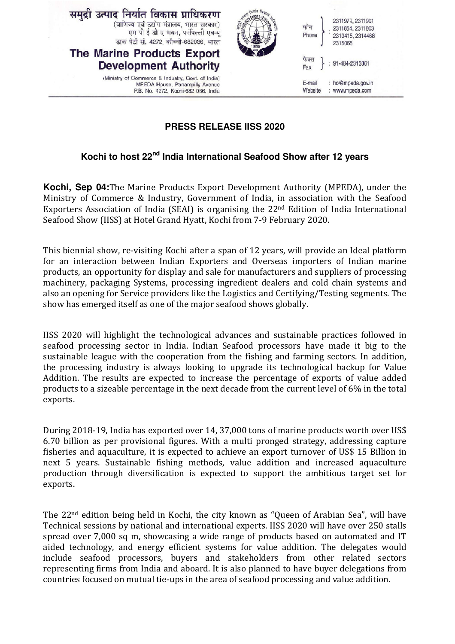

## **PRESS RELEASE IISS 2020**

## **Kochi to host 22nd India International Seafood Show after 12 years**

**Kochi, Sep 04:**The Marine Products Export Development Authority (MPEDA), under the Ministry of Commerce & Industry, Government of India, in association with the Seafood Exporters Association of India (SEAI) is organising the 22<sup>nd</sup> Edition of India International Seafood Show (IISS) at Hotel Grand Hyatt, Kochi from 7-9 February 2020.

This biennial show, re-visiting Kochi after a span of 12 years, will provide an Ideal platform for an interaction between Indian Exporters and Overseas importers of Indian marine products, an opportunity for display and sale for manufacturers and suppliers of processing machinery, packaging Systems, processing ingredient dealers and cold chain systems and also an opening for Service providers like the Logistics and Certifying/Testing segments. The show has emerged itself as one of the major seafood shows globally.

IISS 2020 will highlight the technological advances and sustainable practices followed in seafood processing sector in India. Indian Seafood processors have made it big to the sustainable league with the cooperation from the fishing and farming sectors. In addition, the processing industry is always looking to upgrade its technological backup for Value Addition. The results are expected to increase the percentage of exports of value added products to a sizeable percentage in the next decade from the current level of 6% in the total exports.

During 2018-19, India has exported over 14, 37,000 tons of marine products worth over US\$ 6.70 billion as per provisional figures. With a multi pronged strategy, addressing capture fisheries and aquaculture, it is expected to achieve an export turnover of US\$ 15 Billion in next 5 years. Sustainable fishing methods, value addition and increased aquaculture production through diversification is expected to support the ambitious target set for exports.

The 22nd edition being held in Kochi, the city known as "Queen of Arabian Sea", will have Technical sessions by national and international experts. IISS 2020 will have over 250 stalls spread over 7,000 sq m, showcasing a wide range of products based on automated and IT aided technology, and energy efficient systems for value addition. The delegates would include seafood processors, buyers and stakeholders from other related sectors representing firms from India and aboard. It is also planned to have buyer delegations from countries focused on mutual tie-ups in the area of seafood processing and value addition.